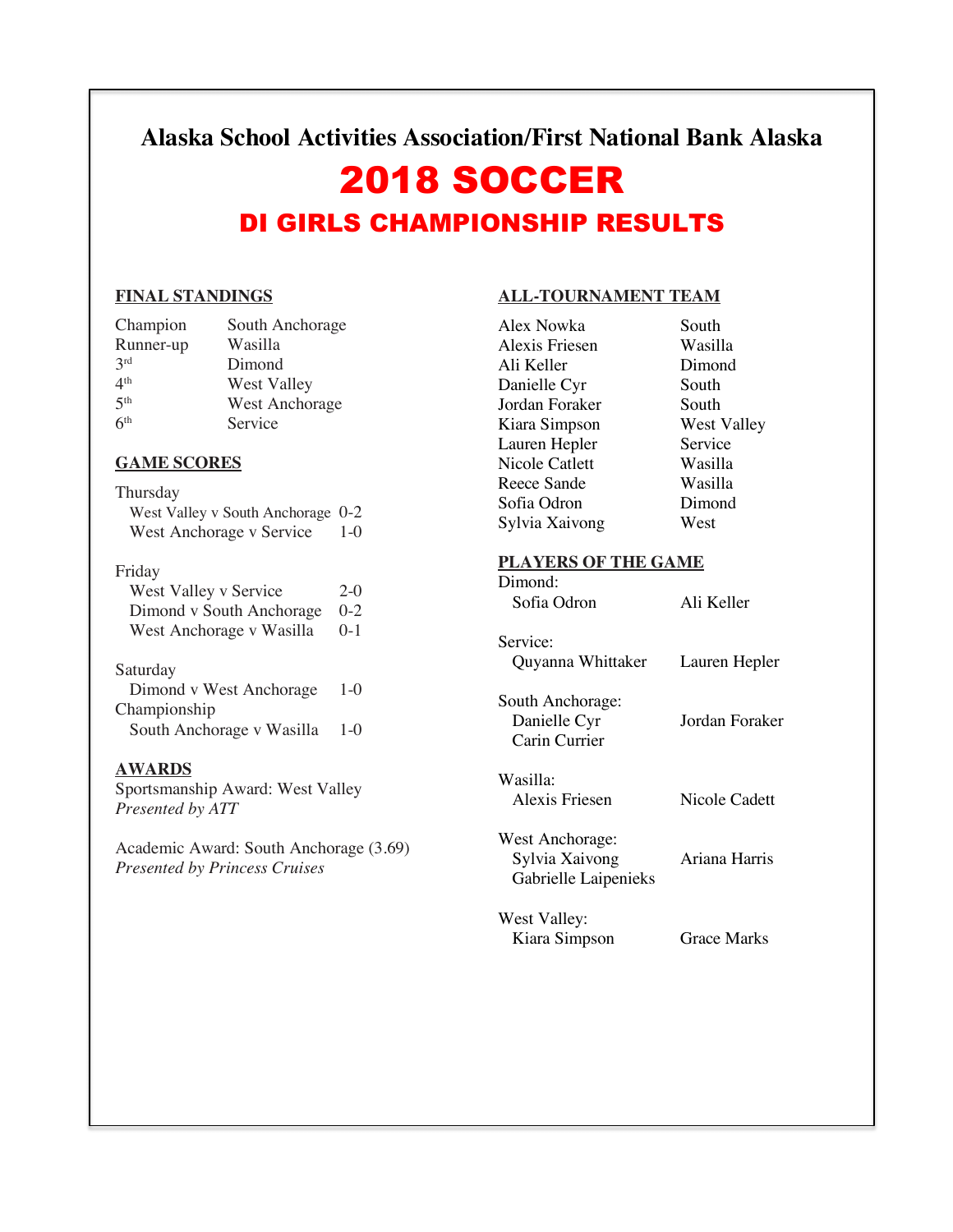**Alaska School Activities Association/First National Bank Alaska**

# 2018 SOCCER

# DI GIRLS CHAMPIONSHIP RESULTS

#### **FINAL STANDINGS**

| Champion        | South Anchorage       |
|-----------------|-----------------------|
| Runner-up       | Wasilla               |
| 2rd             | Dimond                |
| 4 <sup>th</sup> | West Valley           |
| 5 <sup>th</sup> | <b>West Anchorage</b> |
| 6 <sup>th</sup> | Service               |

#### **GAME SCORES**

Thursday West Valley v South Anchorage 0-2 West Anchorage v Service 1-0

#### Friday

| West Valley v Service        | $2-0$ |
|------------------------------|-------|
| Dimond v South Anchorage 0-2 |       |
| West Anchorage v Wasilla 0-1 |       |

#### Saturday

| Dimond v West Anchorage   | $1-0$ |
|---------------------------|-------|
| Championship              |       |
| South Anchorage v Wasilla | $1-0$ |

#### **AWARDS**

Sportsmanship Award: West Valley *Presented by ATT*

Academic Award: South Anchorage (3.69) *Presented by Princess Cruises*

#### **ALL-TOURNAMENT TEAM**

| Alex Nowka     | South       |
|----------------|-------------|
| Alexis Friesen | Wasilla     |
| Ali Keller     | Dimond      |
| Danielle Cyr   | South       |
| Jordan Foraker | South       |
| Kiara Simpson  | West Valley |
| Lauren Hepler  | Service     |
| Nicole Catlett | Wasilla     |
| Reece Sande    | Wasilla     |
| Sofia Odron    | Dimond      |
| Sylvia Xaivong | West        |
|                |             |

#### **PLAYERS OF THE GAME**

| Dimond:                                                   |                    |
|-----------------------------------------------------------|--------------------|
| Sofia Odron                                               | Ali Keller         |
| Service:                                                  |                    |
| Quyanna Whittaker                                         | Lauren Hepler      |
| South Anchorage:<br>Danielle Cyr<br>Carin Currier         | Jordan Foraker     |
| Wasilla:<br>Alexis Friesen                                | Nicole Cadett      |
| West Anchorage:<br>Sylvia Xaivong<br>Gabrielle Laipenieks | Ariana Harris      |
| West Valley:                                              |                    |
| Kiara Simpson                                             | <b>Grace Marks</b> |